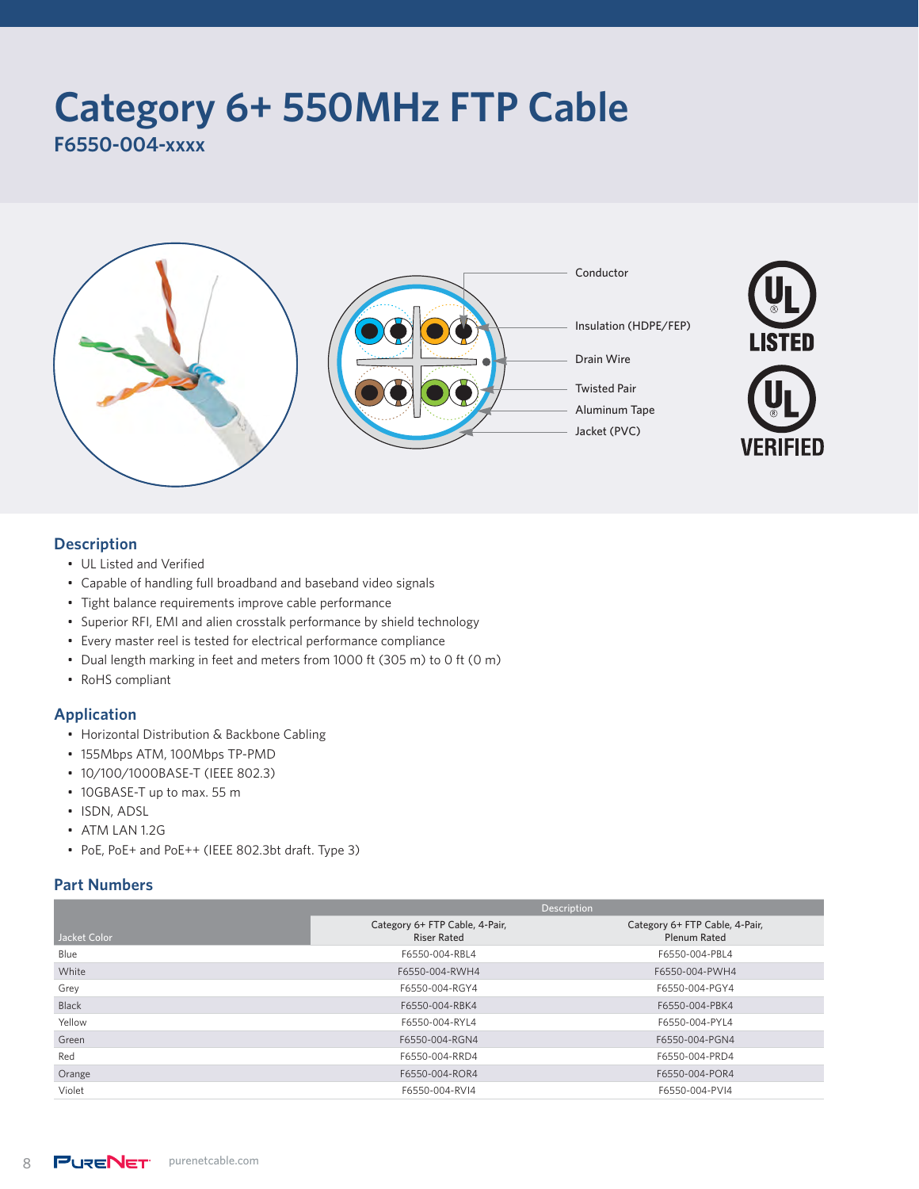# **Category 6+ 550MHz FTP Cable**

**F6550-004-xxxx**



#### **Description**

- UL Listed and Verified
- Capable of handling full broadband and baseband video signals
- Tight balance requirements improve cable performance
- Superior RFI, EMI and alien crosstalk performance by shield technology
- Every master reel is tested for electrical performance compliance
- Dual length marking in feet and meters from 1000 ft (305 m) to 0 ft (0 m)
- RoHS compliant

#### **Application**

- Horizontal Distribution & Backbone Cabling
- 155Mbps ATM, 100Mbps TP-PMD
- 10/100/1000BASE-T (IEEE 802.3)
- 10GBASE-T up to max. 55 m
- ISDN, ADSL
- ATM LAN 1.2G
- PoE, PoE+ and PoE++ (IEEE 802.3bt draft. Type 3)

#### **Part Numbers**

|              | Description                                          |                                                       |  |  |
|--------------|------------------------------------------------------|-------------------------------------------------------|--|--|
| Jacket Color | Category 6+ FTP Cable, 4-Pair,<br><b>Riser Rated</b> | Category 6+ FTP Cable, 4-Pair,<br><b>Plenum Rated</b> |  |  |
| Blue         | F6550-004-RBL4                                       | F6550-004-PBL4                                        |  |  |
| White        | F6550-004-RWH4                                       | F6550-004-PWH4                                        |  |  |
| Grey         | F6550-004-RGY4                                       | F6550-004-PGY4                                        |  |  |
| Black        | F6550-004-RBK4                                       | F6550-004-PBK4                                        |  |  |
| Yellow       | F6550-004-RYL4                                       | F6550-004-PYL4                                        |  |  |
| Green        | F6550-004-RGN4                                       | F6550-004-PGN4                                        |  |  |
| Red          | F6550-004-RRD4                                       | F6550-004-PRD4                                        |  |  |
| Orange       | F6550-004-ROR4                                       | F6550-004-POR4                                        |  |  |
| Violet       | F6550-004-RVI4                                       | F6550-004-PVI4                                        |  |  |